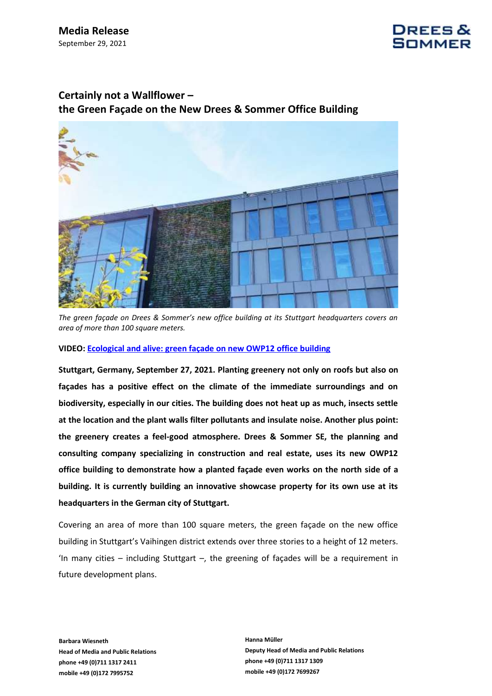

# **Certainly not a Wallflower – the Green Façade on the New Drees & Sommer Office Building**



*The green façade on Drees & Sommer's new office building at its Stuttgart headquarters covers an area of more than 100 square meters.* 

**VIDEO: [Ecological and alive:](https://www.youtube.com/watch?v=Bc58UzRxuoE) [green façade on new OWP12 office building](https://www.youtube.com/watch?v=Bc58UzRxuoE)**

**Stuttgart, Germany, September 27, 2021. Planting greenery not only on roofs but also on façades has a positive effect on the climate of the immediate surroundings and on biodiversity, especially in our cities. The building does not heat up as much, insects settle at the location and the plant walls filter pollutants and insulate noise. Another plus point: the greenery creates a feel-good atmosphere. Drees & Sommer SE, the planning and consulting company specializing in construction and real estate, uses its new OWP12 office building to demonstrate how a planted façade even works on the north side of a building. It is currently building an innovative showcase property for its own use at its headquarters in the German city of Stuttgart.** 

Covering an area of more than 100 square meters, the green façade on the new office building in Stuttgart's Vaihingen district extends over three stories to a height of 12 meters. 'In many cities – including Stuttgart –, the greening of façades will be a requirement in future development plans.

**Barbara Wiesneth Head of Media and Public Relations phone +49 (0)711 1317 2411 mobile +49 (0)172 7995752**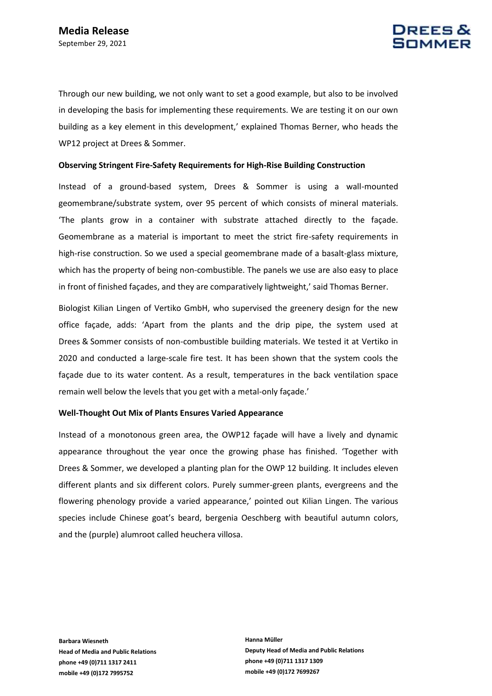

Through our new building, we not only want to set a good example, but also to be involved in developing the basis for implementing these requirements. We are testing it on our own building as a key element in this development,' explained Thomas Berner, who heads the WP12 project at Drees & Sommer.

## **Observing Stringent Fire-Safety Requirements for High-Rise Building Construction**

Instead of a ground-based system, Drees & Sommer is using a wall-mounted geomembrane/substrate system, over 95 percent of which consists of mineral materials. 'The plants grow in a container with substrate attached directly to the façade. Geomembrane as a material is important to meet the strict fire-safety requirements in high-rise construction. So we used a special geomembrane made of a basalt-glass mixture, which has the property of being non-combustible. The panels we use are also easy to place in front of finished façades, and they are comparatively lightweight,' said Thomas Berner.

Biologist Kilian Lingen of Vertiko GmbH, who supervised the greenery design for the new office façade, adds: 'Apart from the plants and the drip pipe, the system used at Drees & Sommer consists of non-combustible building materials. We tested it at Vertiko in 2020 and conducted a large-scale fire test. It has been shown that the system cools the façade due to its water content. As a result, temperatures in the back ventilation space remain well below the levels that you get with a metal-only façade.'

## **Well-Thought Out Mix of Plants Ensures Varied Appearance**

Instead of a monotonous green area, the OWP12 façade will have a lively and dynamic appearance throughout the year once the growing phase has finished. 'Together with Drees & Sommer, we developed a planting plan for the OWP 12 building. It includes eleven different plants and six different colors. Purely summer-green plants, evergreens and the flowering phenology provide a varied appearance,' pointed out Kilian Lingen. The various species include Chinese goat's beard, bergenia Oeschberg with beautiful autumn colors, and the (purple) alumroot called heuchera villosa.

**Barbara Wiesneth Head of Media and Public Relations phone +49 (0)711 1317 2411 mobile +49 (0)172 7995752**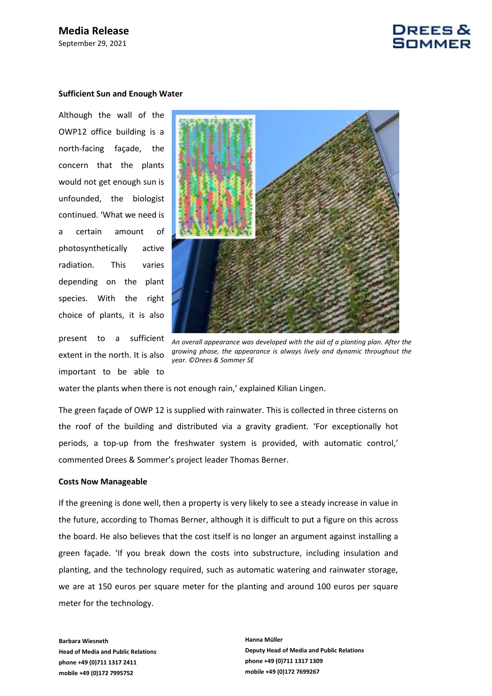

#### **Sufficient Sun and Enough Water**

Although the wall of the OWP12 office building is a north-facing façade, the concern that the plants would not get enough sun is unfounded, the biologist continued. 'What we need is a certain amount of photosynthetically active radiation. This varies depending on the plant species. With the right choice of plants, it is also

present to a sufficient extent in the north. It is also important to be able to



*An overall appearance was developed with the aid of a planting plan. After the growing phase, the appearance is always lively and dynamic throughout the year. ©Drees & Sommer SE*

water the plants when there is not enough rain,' explained Kilian Lingen.

The green façade of OWP 12 is supplied with rainwater. This is collected in three cisterns on the roof of the building and distributed via a gravity gradient. 'For exceptionally hot periods, a top-up from the freshwater system is provided, with automatic control,' commented Drees & Sommer's project leader Thomas Berner.

#### **Costs Now Manageable**

If the greening is done well, then a property is very likely to see a steady increase in value in the future, according to Thomas Berner, although it is difficult to put a figure on this across the board. He also believes that the cost itself is no longer an argument against installing a green façade. 'If you break down the costs into substructure, including insulation and planting, and the technology required, such as automatic watering and rainwater storage, we are at 150 euros per square meter for the planting and around 100 euros per square meter for the technology.

**Barbara Wiesneth Head of Media and Public Relations phone +49 (0)711 1317 2411 mobile +49 (0)172 7995752**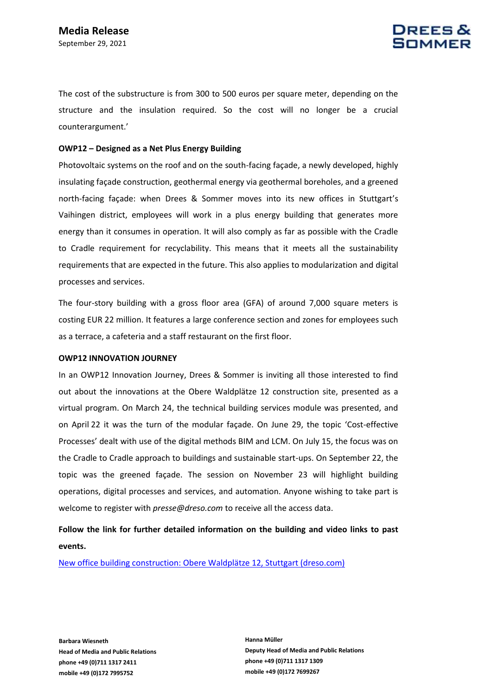

The cost of the substructure is from 300 to 500 euros per square meter, depending on the structure and the insulation required. So the cost will no longer be a crucial counterargument.'

## **OWP12 – Designed as a Net Plus Energy Building**

Photovoltaic systems on the roof and on the south-facing façade, a newly developed, highly insulating façade construction, geothermal energy via geothermal boreholes, and a greened north-facing façade: when Drees & Sommer moves into its new offices in Stuttgart's Vaihingen district, employees will work in a plus energy building that generates more energy than it consumes in operation. It will also comply as far as possible with the Cradle to Cradle requirement for recyclability. This means that it meets all the sustainability requirements that are expected in the future. This also applies to modularization and digital processes and services.

The four-story building with a gross floor area (GFA) of around 7,000 square meters is costing EUR 22 million. It features a large conference section and zones for employees such as a terrace, a cafeteria and a staff restaurant on the first floor.

# **OWP12 INNOVATION JOURNEY**

In an OWP12 Innovation Journey, Drees & Sommer is inviting all those interested to find out about the innovations at the Obere Waldplätze 12 construction site, presented as a virtual program. On March 24, the technical building services module was presented, and on April 22 it was the turn of the modular façade. On June 29, the topic 'Cost-effective Processes' dealt with use of the digital methods BIM and LCM. On July 15, the focus was on the Cradle to Cradle approach to buildings and sustainable start-ups. On September 22, the topic was the greened façade. The session on November 23 will highlight building operations, digital processes and services, and automation. Anyone wishing to take part is welcome to register with *presse@dreso.com* to receive all the access data.

**Follow the link for further detailed information on the building and video links to past events.**

New office building construction: [Obere Waldplätze 12, Stuttgart \(dreso.com\)](https://www.dreso.com/de/projekte/details/neubau-buerogebaeude-obere-waldplaetze-12-stuttgart)

**Barbara Wiesneth Head of Media and Public Relations phone +49 (0)711 1317 2411 mobile +49 (0)172 7995752**